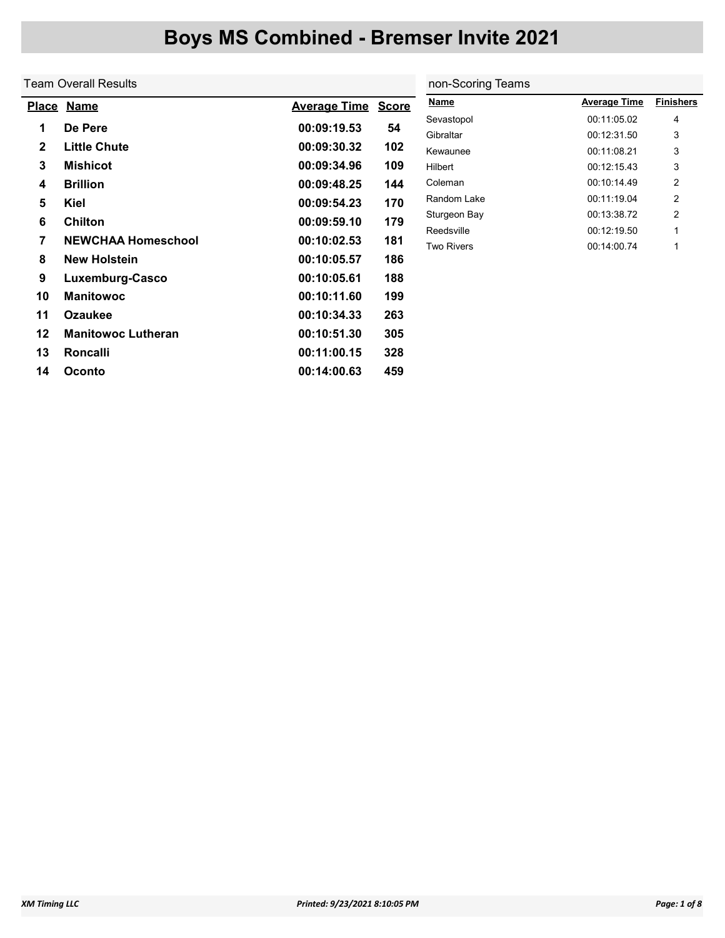|              | Team Overall Results      |                     |              | non-Scoring Teams |                     |                  |  |  |
|--------------|---------------------------|---------------------|--------------|-------------------|---------------------|------------------|--|--|
|              | Place Name                | <b>Average Time</b> | <b>Score</b> | <b>Name</b>       | <b>Average Time</b> | <b>Finishers</b> |  |  |
|              |                           |                     |              | Sevastopol        | 00:11:05.02         | 4                |  |  |
| 1            | De Pere                   | 00:09:19.53         | 54           | Gibraltar         | 00:12:31.50         | 3                |  |  |
| $\mathbf{2}$ | <b>Little Chute</b>       | 00:09:30.32         | 102          | Kewaunee          | 00:11:08.21         | 3                |  |  |
| 3            | <b>Mishicot</b>           | 00:09:34.96         | 109          | Hilbert           | 00:12:15.43         | 3                |  |  |
| 4            | <b>Brillion</b>           | 00:09:48.25         | 144          | Coleman           | 00:10:14.49         | 2                |  |  |
| 5            | Kiel                      | 00:09:54.23         | 170          | Random Lake       | 00:11:19.04         | 2                |  |  |
| 6            | <b>Chilton</b>            | 00:09:59.10         | 179          | Sturgeon Bay      | 00:13:38.72         | 2                |  |  |
|              |                           |                     |              | Reedsville        | 00:12:19.50         | 1                |  |  |
| 7            | <b>NEWCHAA Homeschool</b> | 00:10:02.53         | 181          | <b>Two Rivers</b> | 00:14:00.74         | 1                |  |  |
| 8            | <b>New Holstein</b>       | 00:10:05.57         | 186          |                   |                     |                  |  |  |
| 9            | Luxemburg-Casco           | 00:10:05.61         | 188          |                   |                     |                  |  |  |
| 10           | <b>Manitowoc</b>          | 00:10:11.60         | 199          |                   |                     |                  |  |  |
| 11           | <b>Ozaukee</b>            | 00:10:34.33         | 263          |                   |                     |                  |  |  |
| 12           | <b>Manitowoc Lutheran</b> | 00:10:51.30         | 305          |                   |                     |                  |  |  |
| 13           | <b>Roncalli</b>           | 00:11:00.15         | 328          |                   |                     |                  |  |  |
| 14           | Oconto                    | 00:14:00.63         | 459          |                   |                     |                  |  |  |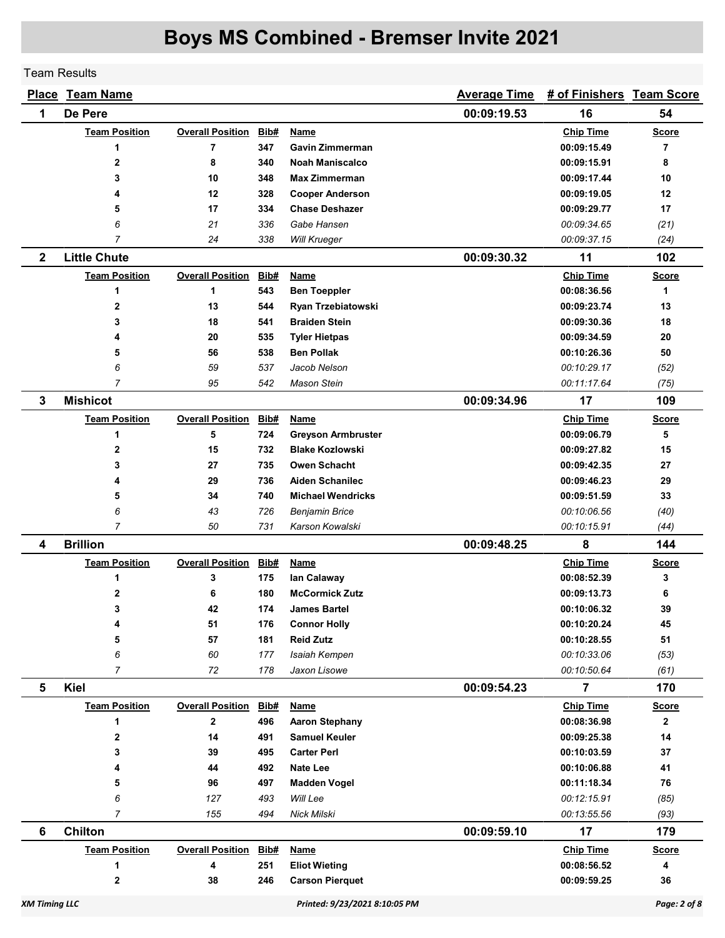Team Results

|              | <b>Place Team Name</b> | <b>Average Time</b>     | # of Finishers Team Score |                           |             |                  |                |
|--------------|------------------------|-------------------------|---------------------------|---------------------------|-------------|------------------|----------------|
| 1            | De Pere                |                         |                           |                           | 00:09:19.53 | 16               | 54             |
|              | <b>Team Position</b>   | <b>Overall Position</b> | Bib#                      | Name                      |             | <b>Chip Time</b> | <b>Score</b>   |
|              | 1                      | 7                       | 347                       | <b>Gavin Zimmerman</b>    |             | 00:09:15.49      | $\overline{7}$ |
|              | $\mathbf 2$            | 8                       | 340                       | Noah Maniscalco           |             | 00:09:15.91      | 8              |
|              | 3                      | 10                      | 348                       | <b>Max Zimmerman</b>      |             | 00:09:17.44      | 10             |
|              | 4                      | 12                      | 328                       | <b>Cooper Anderson</b>    |             | 00:09:19.05      | 12             |
|              | 5                      | 17                      | 334                       | <b>Chase Deshazer</b>     |             | 00:09:29.77      | 17             |
|              | 6                      | 21                      | 336                       | Gabe Hansen               |             | 00:09:34.65      | (21)           |
|              | $\overline{7}$         | 24                      | 338                       | Will Krueger              |             | 00:09:37.15      | (24)           |
| $\mathbf{2}$ | <b>Little Chute</b>    |                         |                           |                           | 00:09:30.32 | 11               | 102            |
|              | <b>Team Position</b>   | <b>Overall Position</b> | Bib#                      | Name                      |             | <b>Chip Time</b> | <b>Score</b>   |
|              | 1                      | 1                       | 543                       | <b>Ben Toeppler</b>       |             | 00:08:36.56      | 1              |
|              | $\mathbf 2$            | 13                      | 544                       | Ryan Trzebiatowski        |             | 00:09:23.74      | 13             |
|              | 3                      | 18                      | 541                       | <b>Braiden Stein</b>      |             | 00:09:30.36      | 18             |
|              | 4                      | 20                      | 535                       | <b>Tyler Hietpas</b>      |             | 00:09:34.59      | 20             |
|              | 5                      | 56                      | 538                       | <b>Ben Pollak</b>         |             | 00:10:26.36      | 50             |
|              | 6                      | 59                      | 537                       | Jacob Nelson              |             | 00:10:29.17      | (52)           |
|              | $\overline{7}$         | 95                      | 542                       | Mason Stein               |             | 00:11:17.64      | (75)           |
| 3            | <b>Mishicot</b>        |                         |                           |                           | 00:09:34.96 | 17               | 109            |
|              | <b>Team Position</b>   | <b>Overall Position</b> | Bib#                      | <b>Name</b>               |             | <b>Chip Time</b> | <b>Score</b>   |
|              | $\mathbf{1}$           | 5                       | 724                       | <b>Greyson Armbruster</b> |             | 00:09:06.79      | 5              |
|              | $\mathbf 2$            | 15                      | 732                       | <b>Blake Kozlowski</b>    |             | 00:09:27.82      | 15             |
|              | 3                      | 27                      | 735                       | <b>Owen Schacht</b>       |             | 00:09:42.35      | 27             |
|              | 4                      | 29                      | 736                       | <b>Aiden Schanilec</b>    |             | 00:09:46.23      | 29             |
|              | 5                      | 34                      | 740                       | <b>Michael Wendricks</b>  |             | 00:09:51.59      | 33             |
|              | 6                      | 43                      | 726                       | <b>Benjamin Brice</b>     |             | 00:10:06.56      | (40)           |
|              | $\overline{7}$         | 50                      | 731                       | Karson Kowalski           |             | 00:10:15.91      | (44)           |
| 4            | <b>Brillion</b>        |                         |                           |                           | 00:09:48.25 | 8                | 144            |
|              | <b>Team Position</b>   | <b>Overall Position</b> | Bib#                      | <b>Name</b>               |             | <b>Chip Time</b> | <b>Score</b>   |
|              | 1                      | 3                       | 175                       | lan Calaway               |             | 00:08:52.39      | 3              |
|              | 2                      | 6                       | 180                       | <b>McCormick Zutz</b>     |             | 00:09:13.73      | 6              |
|              | 3                      | 42                      | 174                       | James Bartel              |             | 00:10:06.32      | 39             |
|              | 4                      | 51                      | 176                       | <b>Connor Holly</b>       |             | 00:10:20.24      | 45             |
|              | 5                      | 57                      | 181                       | <b>Reid Zutz</b>          |             | 00:10:28.55      | 51             |
|              | 6                      | 60                      | 177                       | Isaiah Kempen             |             | 00:10:33.06      | (53)           |
|              | $\overline{7}$         | 72                      | 178                       | Jaxon Lisowe              |             | 00:10:50.64      | (61)           |
| 5            | Kiel                   |                         |                           |                           | 00:09:54.23 | $\overline{7}$   | 170            |
|              | <b>Team Position</b>   | <b>Overall Position</b> | Bib#                      | <b>Name</b>               |             | <b>Chip Time</b> | <b>Score</b>   |
|              | 1                      | $\mathbf 2$             | 496                       | <b>Aaron Stephany</b>     |             | 00:08:36.98      | $\mathbf{2}$   |
|              | $\mathbf 2$            | 14                      | 491                       | <b>Samuel Keuler</b>      |             | 00:09:25.38      | 14             |
|              | 3                      | 39                      | 495                       | <b>Carter Perl</b>        |             | 00:10:03.59      | 37             |
|              | 4                      | 44                      | 492                       | <b>Nate Lee</b>           |             | 00:10:06.88      | 41             |
|              | 5                      | 96                      | 497                       | <b>Madden Vogel</b>       |             | 00:11:18.34      | 76             |
|              | 6<br>$\overline{7}$    | 127                     | 493                       | Will Lee                  |             | 00:12:15.91      | (85)           |
|              |                        | 155                     | 494                       | Nick Milski               |             | 00:13:55.56      | (93)           |
| 6            | <b>Chilton</b>         |                         |                           |                           | 00:09:59.10 | 17               | 179            |
|              | <b>Team Position</b>   | <b>Overall Position</b> | Bib#                      | <b>Name</b>               |             | <b>Chip Time</b> | <b>Score</b>   |
|              | 1                      | 4                       | 251                       | <b>Eliot Wieting</b>      |             | 00:08:56.52      | 4              |
|              | $\mathbf 2$            | 38                      | 246                       | <b>Carson Pierquet</b>    |             | 00:09:59.25      | 36             |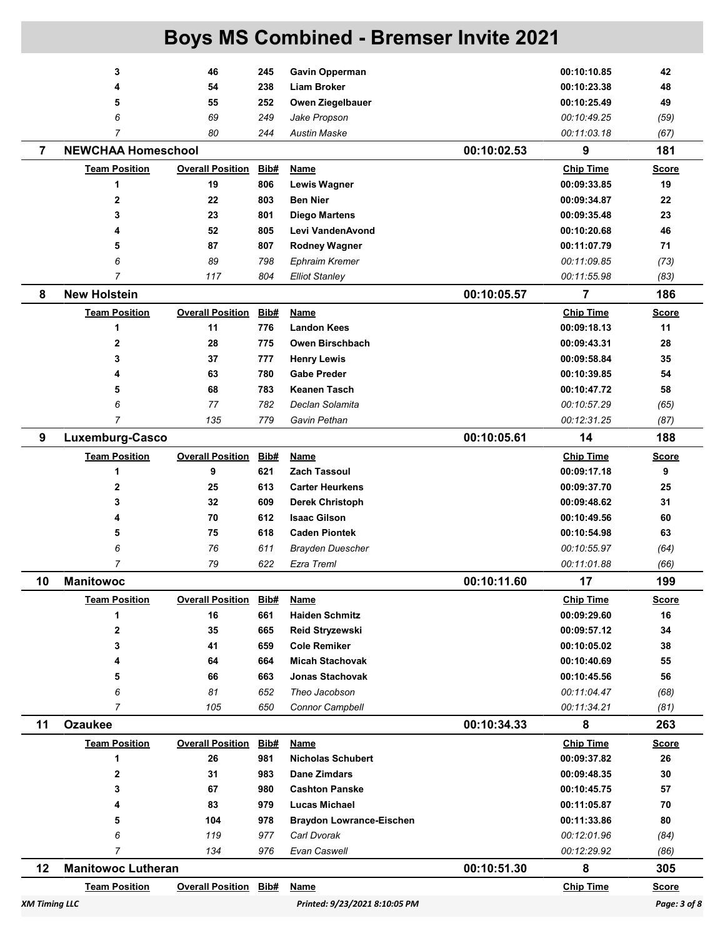| <b>XM Timing LLC</b> |                           |                              |             | Printed: 9/23/2021 8:10:05 PM   |             |                  | Page: 3 of 8 |
|----------------------|---------------------------|------------------------------|-------------|---------------------------------|-------------|------------------|--------------|
|                      | <b>Team Position</b>      | <b>Overall Position Bib#</b> |             | Name                            |             | <b>Chip Time</b> | <b>Score</b> |
| 12                   | <b>Manitowoc Lutheran</b> |                              |             |                                 | 00:10:51.30 | 8                | 305          |
|                      | $\overline{7}$            | 134                          | 976         | Evan Caswell                    |             | 00:12:29.92      | (86)         |
|                      | 6                         | 119                          | 977         | Carl Dvorak                     |             | 00:12:01.96      | (84)         |
|                      | 5                         | 104                          | 978         | <b>Braydon Lowrance-Eischen</b> |             | 00:11:33.86      | 80           |
|                      | 4                         | 83                           | 979         | Lucas Michael                   |             | 00:11:05.87      | 70           |
|                      | 3                         | 67                           | 980         | <b>Cashton Panske</b>           |             | 00:10:45.75      | 57           |
|                      | $\mathbf 2$               | 31                           | 983         | Dane Zimdars                    |             | 00:09:48.35      | 30           |
|                      | 1                         | 26                           | 981         | <b>Nicholas Schubert</b>        |             | 00:09:37.82      | 26           |
|                      | <b>Team Position</b>      | <b>Overall Position</b>      | Bib#        | <b>Name</b>                     |             | <b>Chip Time</b> | <b>Score</b> |
| 11                   | <b>Ozaukee</b>            |                              |             |                                 | 00:10:34.33 | 8                | 263          |
|                      | $\overline{7}$            | 105                          | 650         | <b>Connor Campbell</b>          |             | 00:11:34.21      | (81)         |
|                      | 6                         | 81                           | 652         | Theo Jacobson                   |             | 00:11:04.47      | (68)         |
|                      | 5                         | 66                           | 663         | <b>Jonas Stachovak</b>          |             | 00:10:45.56      | 56           |
|                      | 4                         | 64                           | 664         | <b>Micah Stachovak</b>          |             | 00:10:40.69      | 55           |
|                      | 3                         | 41                           | 659         | <b>Cole Remiker</b>             |             | 00:10:05.02      | 38           |
|                      | 2                         | 35                           | 665         | Reid Stryzewski                 |             | 00:09:57.12      | 34           |
|                      | 1                         | 16                           | 661         | <b>Haiden Schmitz</b>           |             | 00:09:29.60      | 16           |
|                      | <b>Team Position</b>      | <b>Overall Position</b>      | Bib#        | <u>Name</u>                     |             | <b>Chip Time</b> | <b>Score</b> |
| 10                   | <b>Manitowoc</b>          |                              |             |                                 | 00:10:11.60 | 17               | 199          |
|                      | 7                         | 79                           | 622         | Ezra Treml                      |             | 00:11:01.88      | (66)         |
|                      | 6                         | 76                           | 611         | <b>Brayden Duescher</b>         |             | 00:10:55.97      | (64)         |
|                      | 5                         | 75                           | 618         | <b>Caden Piontek</b>            |             | 00:10:54.98      | 63           |
|                      | 4                         | 70                           | 612         | <b>Isaac Gilson</b>             |             | 00:10:49.56      | 60           |
|                      | 3                         | 32                           | 609         | <b>Derek Christoph</b>          |             | 00:09:48.62      | 31           |
|                      | 2                         | 25                           | 613         | <b>Carter Heurkens</b>          |             | 00:09:37.70      | 25           |
|                      | 1                         | 9                            | 621         | <b>Zach Tassoul</b>             |             | 00:09:17.18      | 9            |
|                      | <b>Team Position</b>      | <b>Overall Position</b>      | Bib#        | <b>Name</b>                     |             | <b>Chip Time</b> | <b>Score</b> |
| 9                    | Luxemburg-Casco           |                              |             |                                 | 00:10:05.61 | 14               | 188          |
|                      | 7                         | 135                          | 779         | Gavin Pethan                    |             | 00:12:31.25      | (87)         |
|                      | 6                         | 77                           | 782         | Declan Solamita                 |             | 00:10:57.29      | (65)         |
|                      | 5                         | 68                           | 783         | <b>Keanen Tasch</b>             |             | 00:10:47.72      | 58           |
|                      | 4                         | 63                           | 780         | <b>Gabe Preder</b>              |             | 00:10:39.85      | 54           |
|                      | 3                         | 37                           | 777         | <b>Henry Lewis</b>              |             | 00:09:58.84      | 35           |
|                      | $\mathbf{2}$              | 28                           | 775         | Owen Birschbach                 |             | 00:09:43.31      | 28           |
|                      | 1                         | 11                           | 776         | <b>Landon Kees</b>              |             | 00:09:18.13      | 11           |
|                      | <b>Team Position</b>      | <b>Overall Position</b>      | <b>Bib#</b> | <b>Name</b>                     |             | <b>Chip Time</b> | <b>Score</b> |
| 8                    | <b>New Holstein</b>       |                              |             |                                 | 00:10:05.57 | $\overline{7}$   | 186          |
|                      | $\overline{7}$            | 117                          | 804         | <b>Elliot Stanley</b>           |             | 00:11:55.98      | (83)         |
|                      | 6                         | 89                           | 798         | <b>Ephraim Kremer</b>           |             | 00:11:09.85      | (73)         |
|                      | 5                         | 87                           | 807         | <b>Rodney Wagner</b>            |             | 00:11:07.79      | 71           |
|                      | 4                         | 52                           | 805         | Levi VandenAvond                |             | 00:10:20.68      | 46           |
|                      | 3                         | 23                           | 801         | <b>Diego Martens</b>            |             | 00:09:35.48      | 23           |
|                      | $\mathbf{2}$              | 22                           | 803         | <b>Ben Nier</b>                 |             | 00:09:34.87      | 22           |
|                      | 1                         | 19                           | 806         | <b>Lewis Wagner</b>             |             | 00:09:33.85      | 19           |
|                      | <b>Team Position</b>      | <b>Overall Position</b>      | Bib#        | Name                            |             | <b>Chip Time</b> | <b>Score</b> |
| $\overline{7}$       | <b>NEWCHAA Homeschool</b> |                              |             |                                 | 00:10:02.53 | 9                | 181          |
|                      | $\overline{7}$            | 80                           | 244         | <b>Austin Maske</b>             |             | 00:11:03.18      | (67)         |
|                      | 6                         | 69                           | 249         | Jake Propson                    |             | 00:10:49.25      | (59)         |
|                      | 5                         | 55                           | 252         | Owen Ziegelbauer                |             | 00:10:25.49      | 49           |
|                      | 4                         | 54                           | 238         | <b>Liam Broker</b>              |             | 00:10:23.38      | 48           |
|                      | 3                         | 46                           | 245         | <b>Gavin Opperman</b>           |             | 00:10:10.85      | 42           |
|                      |                           |                              |             |                                 |             |                  |              |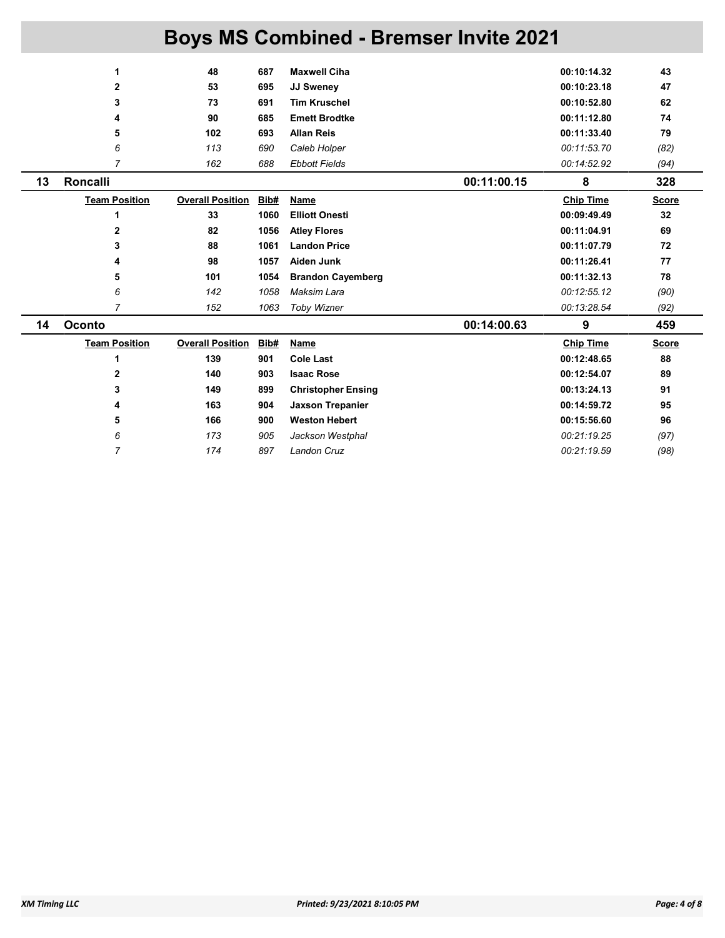|    | 1                    | 48                      | 687  | <b>Maxwell Ciha</b>       |             | 00:10:14.32      | 43           |
|----|----------------------|-------------------------|------|---------------------------|-------------|------------------|--------------|
|    | $\mathbf{2}$         | 53                      | 695  | <b>JJ Sweney</b>          |             | 00:10:23.18      | 47           |
|    | 3                    | 73                      | 691  | <b>Tim Kruschel</b>       |             | 00:10:52.80      | 62           |
|    | 4                    | 90                      | 685  | <b>Emett Brodtke</b>      |             | 00:11:12.80      | 74           |
|    | 5                    | 102                     | 693  | <b>Allan Reis</b>         |             | 00:11:33.40      | 79           |
|    | 6                    | 113                     | 690  | Caleb Holper              |             | 00:11:53.70      | (82)         |
|    | 7                    | 162                     | 688  | <b>Ebbott Fields</b>      |             | 00:14:52.92      | (94)         |
| 13 | Roncalli             |                         |      |                           | 00:11:00.15 | 8                | 328          |
|    | <b>Team Position</b> | <b>Overall Position</b> | Bib# | <b>Name</b>               |             | <b>Chip Time</b> | <b>Score</b> |
|    | 1                    | 33                      | 1060 | <b>Elliott Onesti</b>     |             | 00:09:49.49      | 32           |
|    | 2                    | 82                      | 1056 | <b>Atley Flores</b>       |             | 00:11:04.91      | 69           |
|    | 3                    | 88                      | 1061 | <b>Landon Price</b>       |             | 00:11:07.79      | 72           |
|    | 4                    | 98                      | 1057 | Aiden Junk                |             | 00:11:26.41      | 77           |
|    | 5                    | 101                     | 1054 | <b>Brandon Cayemberg</b>  |             | 00:11:32.13      | 78           |
|    | 6                    | 142                     | 1058 | Maksim Lara               |             | 00:12:55.12      | (90)         |
|    | $\overline{7}$       | 152                     | 1063 | <b>Toby Wizner</b>        |             | 00:13:28.54      | (92)         |
| 14 | <b>Oconto</b>        |                         |      |                           | 00:14:00.63 | 9                | 459          |
|    | <b>Team Position</b> | <b>Overall Position</b> | Bib# | Name                      |             | <b>Chip Time</b> | <b>Score</b> |
|    | 1                    | 139                     | 901  | <b>Cole Last</b>          |             | 00:12:48.65      | 88           |
|    | 2                    | 140                     | 903  | <b>Isaac Rose</b>         |             | 00:12:54.07      | 89           |
|    | 3                    | 149                     | 899  | <b>Christopher Ensing</b> |             | 00:13:24.13      | 91           |
|    | 4                    | 163                     | 904  | <b>Jaxson Trepanier</b>   |             | 00:14:59.72      | 95           |
|    | 5                    | 166                     | 900  | <b>Weston Hebert</b>      |             | 00:15:56.60      | 96           |
|    | 6                    | 173                     | 905  | Jackson Westphal          |             | 00:21:19.25      | (97)         |
|    | $\overline{7}$       | 174                     | 897  | Landon Cruz               |             | 00:21:19.59      | (98)         |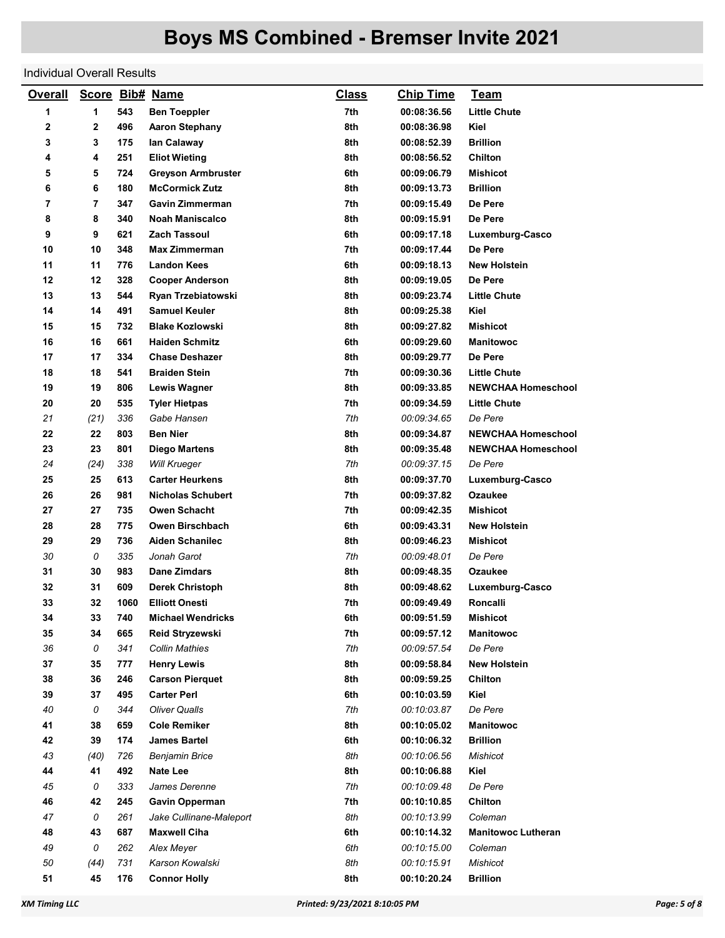#### Individual Overall Results

| <b>Overall</b> |                |      | Score Bib# Name           | <b>Class</b> | <b>Chip Time</b> | <b>Team</b>               |
|----------------|----------------|------|---------------------------|--------------|------------------|---------------------------|
| 1              | 1              | 543  | <b>Ben Toeppler</b>       | 7th          | 00:08:36.56      | <b>Little Chute</b>       |
| 2              | 2              | 496  | <b>Aaron Stephany</b>     | 8th          | 00:08:36.98      | Kiel                      |
| 3              | 3              | 175  | lan Calaway               | 8th          | 00:08:52.39      | <b>Brillion</b>           |
| 4              | 4              | 251  | <b>Eliot Wieting</b>      | 8th          | 00:08:56.52      | Chilton                   |
| 5              | 5              | 724  | <b>Greyson Armbruster</b> | 6th          | 00:09:06.79      | <b>Mishicot</b>           |
| 6              | 6              | 180  | <b>McCormick Zutz</b>     | 8th          | 00:09:13.73      | <b>Brillion</b>           |
| 7              | $\overline{7}$ | 347  | Gavin Zimmerman           | 7th          | 00:09:15.49      | De Pere                   |
| 8              | 8              | 340  | <b>Noah Maniscalco</b>    | 8th          | 00:09:15.91      | De Pere                   |
| 9              | 9              | 621  | <b>Zach Tassoul</b>       | 6th          | 00:09:17.18      | Luxemburg-Casco           |
| 10             | 10             | 348  | <b>Max Zimmerman</b>      | 7th          | 00:09:17.44      | De Pere                   |
| 11             | 11             | 776  | <b>Landon Kees</b>        | 6th          | 00:09:18.13      | <b>New Holstein</b>       |
| 12             | 12             | 328  | <b>Cooper Anderson</b>    | 8th          | 00:09:19.05      | De Pere                   |
| 13             | 13             | 544  | Ryan Trzebiatowski        | 8th          | 00:09:23.74      | <b>Little Chute</b>       |
| 14             | 14             | 491  | <b>Samuel Keuler</b>      | 8th          | 00:09:25.38      | Kiel                      |
| 15             | 15             | 732  | <b>Blake Kozlowski</b>    | 8th          | 00:09:27.82      | <b>Mishicot</b>           |
| 16             | 16             | 661  | <b>Haiden Schmitz</b>     | 6th          | 00:09:29.60      | <b>Manitowoc</b>          |
| 17             | 17             | 334  | <b>Chase Deshazer</b>     | 8th          | 00:09:29.77      | De Pere                   |
| 18             | 18             | 541  | <b>Braiden Stein</b>      | 7th          | 00:09:30.36      | <b>Little Chute</b>       |
| 19             | 19             | 806  | <b>Lewis Wagner</b>       | 8th          | 00:09:33.85      | <b>NEWCHAA Homeschool</b> |
| 20             | 20             | 535  | <b>Tyler Hietpas</b>      | 7th          | 00:09:34.59      | <b>Little Chute</b>       |
| 21             | (21)           | 336  | Gabe Hansen               | 7th          | 00:09:34.65      | De Pere                   |
| 22             | 22             | 803  | <b>Ben Nier</b>           | 8th          | 00:09:34.87      | <b>NEWCHAA Homeschool</b> |
| 23             | 23             | 801  | <b>Diego Martens</b>      | 8th          | 00:09:35.48      | <b>NEWCHAA Homeschool</b> |
| 24             | (24)           | 338  | <b>Will Krueger</b>       | 7th          | 00:09:37.15      | De Pere                   |
| 25             | 25             | 613  | <b>Carter Heurkens</b>    | 8th          | 00:09:37.70      | Luxemburg-Casco           |
| 26             | 26             | 981  | <b>Nicholas Schubert</b>  | 7th          | 00:09:37.82      | Ozaukee                   |
| 27             | 27             | 735  | <b>Owen Schacht</b>       | 7th          | 00:09:42.35      | Mishicot                  |
| 28             | 28             | 775  | Owen Birschbach           | 6th          | 00:09:43.31      | <b>New Holstein</b>       |
| 29             | 29             | 736  | <b>Aiden Schanilec</b>    | 8th          | 00:09:46.23      | <b>Mishicot</b>           |
| 30             | 0              | 335  | Jonah Garot               | 7th          | 00:09:48.01      | De Pere                   |
| 31             | 30             | 983  | Dane Zimdars              | 8th          | 00:09:48.35      | Ozaukee                   |
| 32             | 31             | 609  | <b>Derek Christoph</b>    | 8th          | 00:09:48.62      | Luxemburg-Casco           |
| 33             | 32             | 1060 | <b>Elliott Onesti</b>     | 7th          | 00:09:49.49      | Roncalli                  |
| 34             | 33             | 740  | <b>Michael Wendricks</b>  | 6th          | 00:09:51.59      | <b>Mishicot</b>           |
| 35             | 34             | 665  | Reid Stryzewski           | 7th          | 00:09:57.12      | <b>Manitowoc</b>          |
| 36             | 0              | 341  | <b>Collin Mathies</b>     | 7th          | 00:09:57.54      | De Pere                   |
| 37             | 35             | 777  | <b>Henry Lewis</b>        | 8th          | 00:09:58.84      | <b>New Holstein</b>       |
| 38             | 36             | 246  | <b>Carson Pierquet</b>    | 8th          | 00:09:59.25      | Chilton                   |
| 39             | 37             | 495  | <b>Carter Perl</b>        | 6th          | 00:10:03.59      | Kiel                      |
| 40             | 0              | 344  | <b>Oliver Qualls</b>      | 7th          | 00:10:03.87      | De Pere                   |
| 41             | 38             | 659  | <b>Cole Remiker</b>       | 8th          | 00:10:05.02      | <b>Manitowoc</b>          |
| 42             | 39             | 174  | <b>James Bartel</b>       | 6th          | 00:10:06.32      | <b>Brillion</b>           |
| 43             | (40)           | 726  | <b>Benjamin Brice</b>     | 8th          | 00:10:06.56      | Mishicot                  |
| 44             | 41             | 492  | Nate Lee                  | 8th          | 00:10:06.88      | Kiel                      |
| 45             | 0              | 333  | James Derenne             | 7th          | 00:10:09.48      | De Pere                   |
| 46             | 42             | 245  | <b>Gavin Opperman</b>     | 7th          | 00:10:10.85      | Chilton                   |
| 47             | 0              | 261  | Jake Cullinane-Maleport   | 8th          | 00:10:13.99      | Coleman                   |
| 48             | 43             | 687  | <b>Maxwell Ciha</b>       | 6th          | 00:10:14.32      | <b>Manitowoc Lutheran</b> |
| 49             | 0              | 262  | Alex Meyer                | 6th          | 00:10:15.00      | Coleman                   |
| 50             | (44)           | 731  | Karson Kowalski           | 8th          | 00:10:15.91      | Mishicot                  |
| 51             | 45             | 176  | <b>Connor Holly</b>       | 8th          | 00:10:20.24      | <b>Brillion</b>           |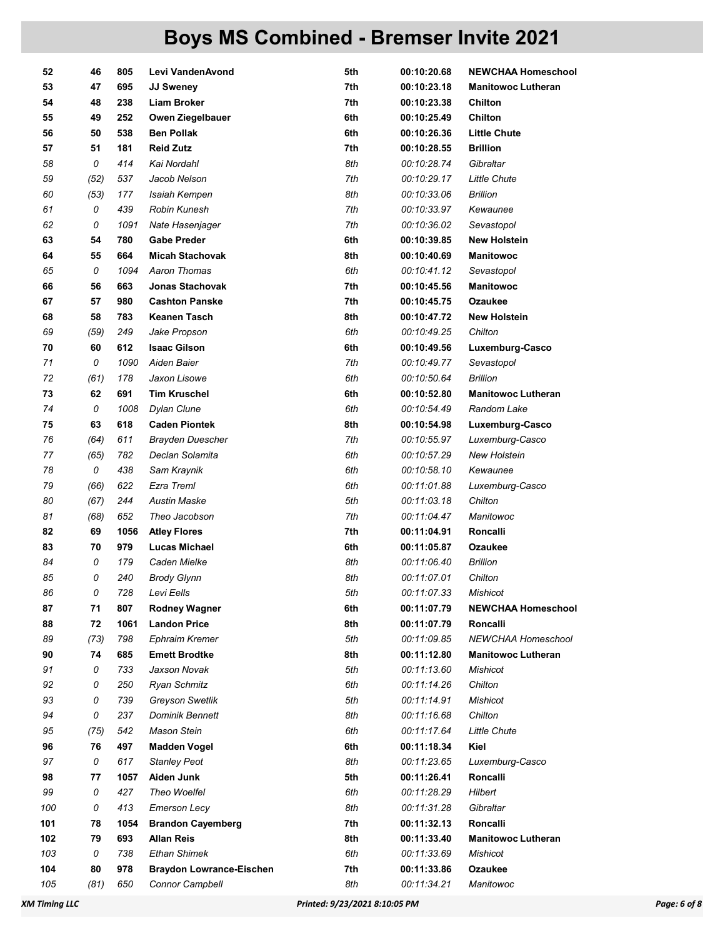| 52  | 46   | 805  | Levi VandenAvond                | 5th | 00:10:20.68 | <b>NEWCHAA Homeschool</b> |
|-----|------|------|---------------------------------|-----|-------------|---------------------------|
| 53  | 47   | 695  | <b>JJ Sweney</b>                | 7th | 00:10:23.18 | <b>Manitowoc Lutheran</b> |
| 54  | 48   | 238  | <b>Liam Broker</b>              | 7th | 00:10:23.38 | <b>Chilton</b>            |
| 55  | 49   | 252  | Owen Ziegelbauer                | 6th | 00:10:25.49 | Chilton                   |
| 56  | 50   | 538  | <b>Ben Pollak</b>               | 6th | 00:10:26.36 | <b>Little Chute</b>       |
| 57  | 51   | 181  | <b>Reid Zutz</b>                | 7th | 00:10:28.55 | <b>Brillion</b>           |
| 58  | 0    | 414  | Kai Nordahl                     | 8th | 00:10:28.74 | Gibraltar                 |
| 59  | (52) | 537  | Jacob Nelson                    | 7th | 00:10:29.17 | <b>Little Chute</b>       |
| 60  | (53) | 177  | Isaiah Kempen                   | 8th | 00:10:33.06 | <b>Brillion</b>           |
| 61  | 0    | 439  | Robin Kunesh                    | 7th | 00:10:33.97 | Kewaunee                  |
| 62  | 0    | 1091 | Nate Hasenjager                 | 7th | 00:10:36.02 | Sevastopol                |
| 63  | 54   | 780  | <b>Gabe Preder</b>              | 6th | 00:10:39.85 | <b>New Holstein</b>       |
| 64  | 55   | 664  | <b>Micah Stachovak</b>          | 8th | 00:10:40.69 | <b>Manitowoc</b>          |
| 65  | 0    | 1094 | Aaron Thomas                    | 6th | 00:10:41.12 | Sevastopol                |
| 66  | 56   | 663  | <b>Jonas Stachovak</b>          | 7th | 00:10:45.56 | <b>Manitowoc</b>          |
| 67  | 57   | 980  | <b>Cashton Panske</b>           | 7th | 00:10:45.75 | Ozaukee                   |
| 68  | 58   | 783  | <b>Keanen Tasch</b>             | 8th | 00:10:47.72 | <b>New Holstein</b>       |
| 69  | (59) | 249  | Jake Propson                    | 6th | 00:10:49.25 | Chilton                   |
| 70  | 60   | 612  | <b>Isaac Gilson</b>             | 6th | 00:10:49.56 | Luxemburg-Casco           |
| 71  | 0    | 1090 | Aiden Baier                     | 7th | 00:10:49.77 | Sevastopol                |
| 72  | (61) | 178  | Jaxon Lisowe                    | 6th | 00:10:50.64 | <b>Brillion</b>           |
| 73  | 62   | 691  | <b>Tim Kruschel</b>             | 6th | 00:10:52.80 | <b>Manitowoc Lutheran</b> |
| 74  | 0    | 1008 | Dylan Clune                     | 6th | 00:10:54.49 | Random Lake               |
| 75  | 63   | 618  | <b>Caden Piontek</b>            | 8th | 00:10:54.98 | Luxemburg-Casco           |
| 76  | (64) | 611  | <b>Brayden Duescher</b>         | 7th | 00:10:55.97 | Luxemburg-Casco           |
| 77  | (65) | 782  | Declan Solamita                 | 6th | 00:10:57.29 | <b>New Holstein</b>       |
| 78  | 0    | 438  | Sam Kraynik                     | 6th | 00:10:58.10 | Kewaunee                  |
| 79  | (66) | 622  | Ezra Treml                      | 6th | 00:11:01.88 | Luxemburg-Casco           |
| 80  | (67) | 244  | <b>Austin Maske</b>             | 5th | 00:11:03.18 | Chilton                   |
| 81  | (68) | 652  | Theo Jacobson                   | 7th | 00:11:04.47 | Manitowoc                 |
| 82  | 69   | 1056 | <b>Atley Flores</b>             | 7th | 00:11:04.91 | Roncalli                  |
| 83  | 70   | 979  | <b>Lucas Michael</b>            | 6th | 00:11:05.87 | Ozaukee                   |
| 84  | 0    | 179  | Caden Mielke                    | 8th | 00:11:06.40 | <b>Brillion</b>           |
| 85  | 0    | 240  | <b>Brody Glynn</b>              | 8th | 00:11:07.01 | Chilton                   |
| 86  | 0    | 728  | Levi Eells                      | 5th | 00:11:07.33 | Mishicot                  |
| 87  | 71   | 807  | <b>Rodney Wagner</b>            | 6th | 00:11:07.79 | <b>NEWCHAA Homeschool</b> |
| 88  | 72   | 1061 | <b>Landon Price</b>             | 8th | 00:11:07.79 | Roncalli                  |
| 89  | (73) | 798  | <b>Ephraim Kremer</b>           | 5th | 00:11:09.85 | NEWCHAA Homeschool        |
| 90  | 74   | 685  | <b>Emett Brodtke</b>            | 8th | 00:11:12.80 | <b>Manitowoc Lutheran</b> |
| 91  | 0    | 733  | Jaxson Novak                    | 5th | 00:11:13.60 | Mishicot                  |
| 92  | 0    | 250  | <b>Ryan Schmitz</b>             | 6th | 00:11:14.26 | Chilton                   |
| 93  | 0    | 739  | <b>Greyson Swetlik</b>          | 5th | 00:11:14.91 | Mishicot                  |
| 94  | 0    | 237  | <b>Dominik Bennett</b>          | 8th | 00:11:16.68 | Chilton                   |
| 95  | (75) | 542  | Mason Stein                     | 6th | 00:11:17.64 | <b>Little Chute</b>       |
| 96  | 76   | 497  | <b>Madden Vogel</b>             | 6th | 00:11:18.34 | Kiel                      |
| 97  | 0    | 617  | <b>Stanley Peot</b>             | 8th | 00:11:23.65 | Luxemburg-Casco           |
| 98  | 77   | 1057 | Aiden Junk                      | 5th | 00:11:26.41 | Roncalli                  |
| 99  | 0    | 427  | Theo Woelfel                    | 6th | 00:11:28.29 | Hilbert                   |
| 100 | 0    | 413  | <b>Emerson Lecy</b>             | 8th | 00:11:31.28 | Gibraltar                 |
| 101 | 78   | 1054 | <b>Brandon Cayemberg</b>        | 7th | 00:11:32.13 | Roncalli                  |
| 102 | 79   | 693  | <b>Allan Reis</b>               | 8th | 00:11:33.40 | <b>Manitowoc Lutheran</b> |
| 103 | 0    | 738  | <b>Ethan Shimek</b>             | 6th | 00:11:33.69 | <b>Mishicot</b>           |
| 104 | 80   | 978  | <b>Braydon Lowrance-Eischen</b> | 7th | 00:11:33.86 | Ozaukee                   |
| 105 | (81) | 650  | Connor Campbell                 | 8th | 00:11:34.21 | Manitowoc                 |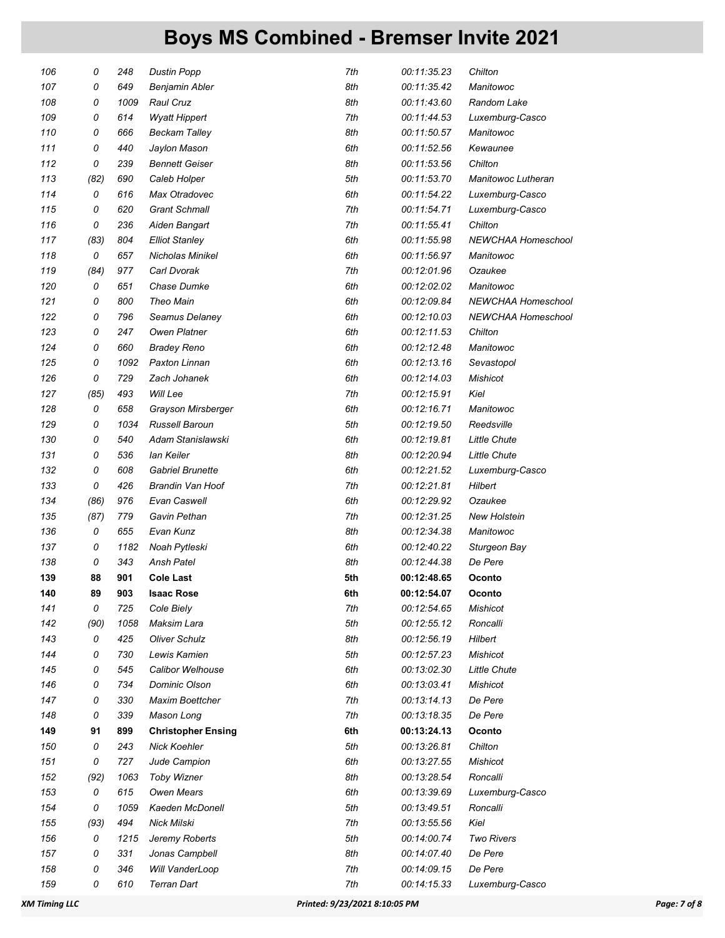| 106 | 0    | 248  | <b>Dustin Popp</b>        | 7th | 00:11:35.23 | Chilton             |
|-----|------|------|---------------------------|-----|-------------|---------------------|
| 107 | 0    | 649  | Benjamin Abler            | 8th | 00:11:35.42 | Manitowoc           |
| 108 | 0    | 1009 | <b>Raul Cruz</b>          | 8th | 00:11:43.60 | Random Lake         |
| 109 | 0    | 614  | <b>Wyatt Hippert</b>      | 7th | 00:11:44.53 | Luxemburg-Casco     |
| 110 | 0    | 666  | <b>Beckam Talley</b>      | 8th | 00:11:50.57 | Manitowoc           |
| 111 | 0    | 440  | Jaylon Mason              | 6th | 00:11:52.56 | Kewaunee            |
| 112 | 0    | 239  | <b>Bennett Geiser</b>     | 8th | 00:11:53.56 | Chilton             |
| 113 | (82) | 690  | Caleb Holper              | 5th | 00:11:53.70 | Manitowoc Lutheran  |
| 114 | 0    | 616  | Max Otradovec             | 6th | 00:11:54.22 | Luxemburg-Casco     |
| 115 | 0    | 620  | <b>Grant Schmall</b>      | 7th | 00:11:54.71 | Luxemburg-Casco     |
| 116 | 0    | 236  | Aiden Bangart             | 7th | 00:11:55.41 | Chilton             |
| 117 | (83) | 804  | <b>Elliot Stanley</b>     | 6th | 00:11:55.98 | NEWCHAA Homeschool  |
| 118 | 0    | 657  | Nicholas Minikel          | 6th | 00:11:56.97 | Manitowoc           |
| 119 | (84) | 977  | Carl Dvorak               | 7th | 00:12:01.96 | Ozaukee             |
| 120 | 0    | 651  | Chase Dumke               | 6th | 00:12:02.02 | Manitowoc           |
| 121 | 0    | 800  | <b>Theo Main</b>          | 6th | 00:12:09.84 | NEWCHAA Homeschool  |
| 122 | 0    | 796  | Seamus Delaney            | 6th | 00:12:10.03 | NEWCHAA Homeschool  |
| 123 | 0    | 247  | <b>Owen Platner</b>       | 6th | 00:12:11.53 | Chilton             |
| 124 | 0    | 660  | <b>Bradey Reno</b>        | 6th | 00:12:12.48 | Manitowoc           |
| 125 | 0    | 1092 | Paxton Linnan             | 6th | 00:12:13.16 | Sevastopol          |
| 126 | 0    | 729  | Zach Johanek              | 6th | 00:12:14.03 | Mishicot            |
| 127 | (85) | 493  | Will Lee                  | 7th | 00:12:15.91 | Kiel                |
| 128 | 0    | 658  | Grayson Mirsberger        | 6th | 00:12:16.71 | Manitowoc           |
| 129 | 0    | 1034 | Russell Baroun            | 5th | 00:12:19.50 | Reedsville          |
| 130 | 0    | 540  | Adam Stanislawski         | 6th | 00:12:19.81 | <b>Little Chute</b> |
| 131 | 0    | 536  | lan Keiler                | 8th | 00:12:20.94 | <b>Little Chute</b> |
| 132 | 0    | 608  | <b>Gabriel Brunette</b>   | 6th | 00:12:21.52 | Luxemburg-Casco     |
| 133 | 0    | 426  | Brandin Van Hoof          | 7th | 00:12:21.81 | Hilbert             |
| 134 | (86) | 976  | Evan Caswell              | 6th | 00:12:29.92 | Ozaukee             |
| 135 | (87) | 779  | Gavin Pethan              | 7th | 00:12:31.25 | <b>New Holstein</b> |
| 136 | 0    | 655  | Evan Kunz                 | 8th | 00:12:34.38 | Manitowoc           |
| 137 | 0    | 1182 | Noah Pytleski             | 6th | 00:12:40.22 | Sturgeon Bay        |
| 138 | 0    | 343  | <b>Ansh Patel</b>         | 8th | 00:12:44.38 | De Pere             |
| 139 | 88   | 901  | <b>Cole Last</b>          | 5th | 00:12:48.65 | Oconto              |
| 140 | 89   | 903  | <b>Isaac Rose</b>         | 6th | 00:12:54.07 | Oconto              |
| 141 | 0    | 725  | Cole Biely                | 7th | 00:12:54.65 | Mishicot            |
| 142 | (90) | 1058 | Maksim Lara               | 5th | 00:12:55.12 | Roncalli            |
| 143 | 0    | 425  | <b>Oliver Schulz</b>      | 8th | 00:12:56.19 | Hilbert             |
| 144 | 0    | 730  | Lewis Kamien              | 5th | 00:12:57.23 | <b>Mishicot</b>     |
| 145 | 0    | 545  | Calibor Welhouse          | 6th | 00:13:02.30 | <b>Little Chute</b> |
| 146 | 0    | 734  | <b>Dominic Olson</b>      | 6th | 00:13:03.41 | Mishicot            |
| 147 | 0    | 330  | Maxim Boettcher           | 7th | 00:13:14.13 | De Pere             |
| 148 | 0    | 339  | Mason Long                | 7th | 00:13:18.35 | De Pere             |
| 149 | 91   | 899  | <b>Christopher Ensing</b> | 6th | 00:13:24.13 | Oconto              |
| 150 | 0    | 243  | <b>Nick Koehler</b>       | 5th | 00:13:26.81 | Chilton             |
| 151 | 0    | 727  | Jude Campion              | 6th | 00:13:27.55 | Mishicot            |
| 152 | (92) | 1063 | <b>Toby Wizner</b>        | 8th | 00:13:28.54 | Roncalli            |
| 153 | 0    | 615  | <b>Owen Mears</b>         | 6th | 00:13:39.69 | Luxemburg-Casco     |
| 154 | 0    | 1059 | Kaeden McDonell           | 5th | 00:13:49.51 | Roncalli            |
| 155 | (93) | 494  | Nick Milski               | 7th | 00:13:55.56 | Kiel                |
| 156 | 0    | 1215 | Jeremy Roberts            | 5th | 00:14:00.74 | <b>Two Rivers</b>   |
| 157 | 0    | 331  | Jonas Campbell            | 8th | 00:14:07.40 | De Pere             |
| 158 | 0    | 346  | Will VanderLoop           | 7th | 00:14:09.15 | De Pere             |
| 159 | 0    | 610  | Terran Dart               | 7th | 00:14:15.33 | Luxemburg-Casco     |